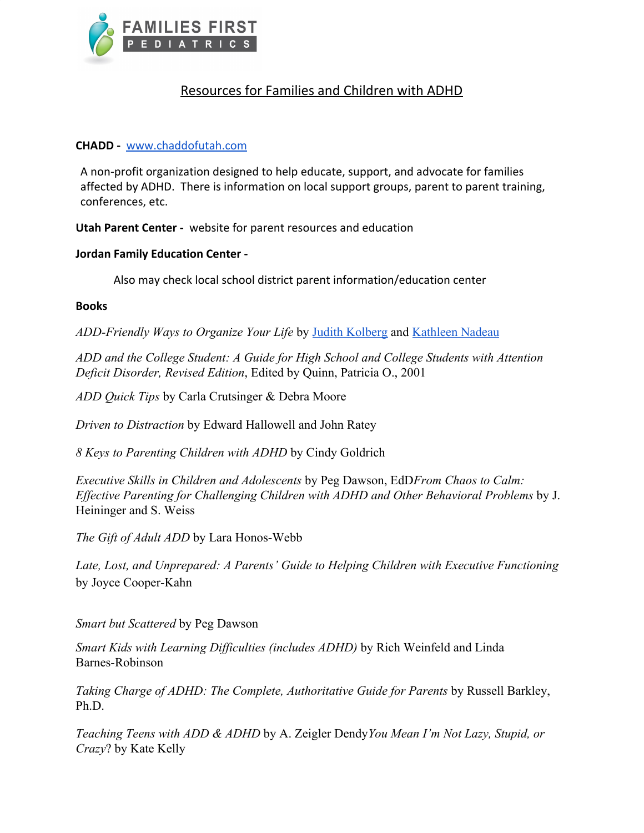

## Resources for Families and Children with ADHD

## **CHADD -** [www.chaddofutah.com](http://www.chaddofutah.com/)

A non-profit organization designed to help educate, support, and advocate for families affected by ADHD. There is information on local support groups, parent to parent training, conferences, etc.

**Utah Parent Center -** website for parent resources and education

## **Jordan Family Education Center -**

Also may check local school district parent information/education center

## **Books**

*ADD-Friendly Ways to Organize Your Life* by [Judith Kolberg](http://www.amazon.com/Judith-Kolberg/e/B001K8G76C/ref=ntt_athr_dp_pel_1) and [Kathleen Nadeau](http://www.amazon.com/s/ref=ntt_athr_dp_sr_2?_encoding=UTF8&sort=relevancerank&search-alias=books&field-author=Kathleen%20Nadeau)

*ADD and the College Student: A Guide for High School and College Students with Attention Deficit Disorder, Revised Edition*, Edited by Quinn, Patricia O., 2001

*ADD Quick Tips* by Carla Crutsinger & Debra Moore

*Driven to Distraction* by Edward Hallowell and John Ratey

*8 Keys to Parenting Children with ADHD* by Cindy Goldrich

*Executive Skills in Children and Adolescents* by Peg Dawson, EdD*From Chaos to Calm: Effective Parenting for Challenging Children with ADHD and Other Behavioral Problems* by J. Heininger and S. Weiss

*The Gift of Adult ADD* by Lara Honos-Webb

*Late, Lost, and Unprepared: A Parents' Guide to Helping Children with Executive Functioning* by Joyce Cooper-Kahn

*Smart but Scattered* by Peg Dawson

*Smart Kids with Learning Difficulties (includes ADHD)* by Rich Weinfeld and Linda Barnes-Robinson

*Taking Charge of ADHD: The Complete, Authoritative Guide for Parents* by Russell Barkley, Ph.D.

*Teaching Teens with ADD & ADHD* by A. Zeigler Dendy*You Mean I'm Not Lazy, Stupid, or Crazy*? by Kate Kelly